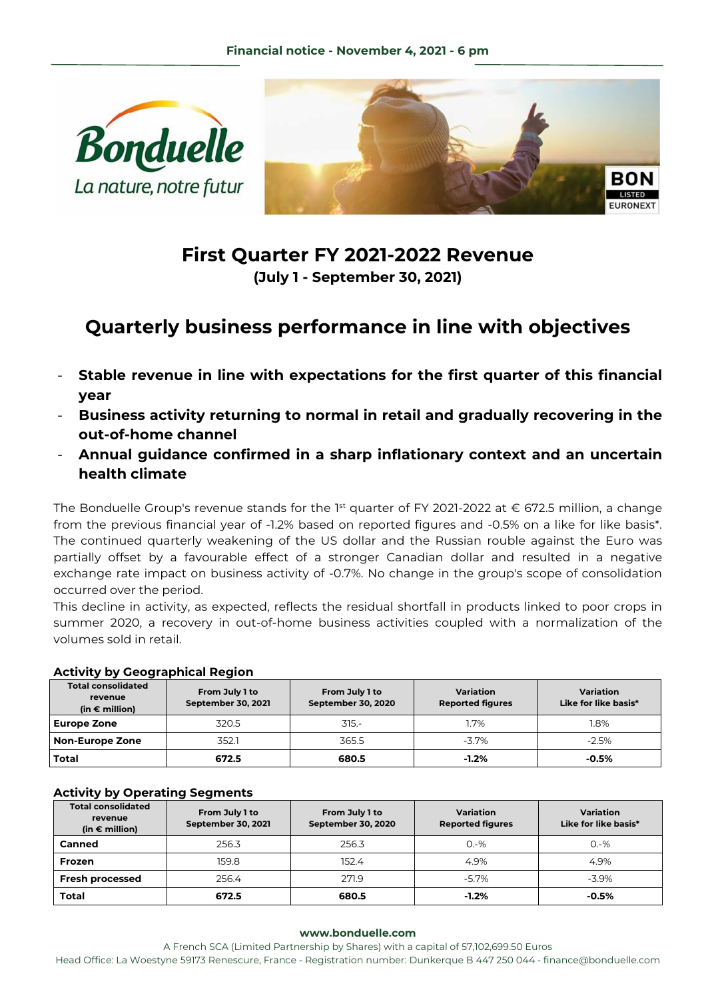



## **First Quarter FY 2021-2022 Revenue (July 1 - September 30, 2021)**

# **Quarterly business performance in line with objectives**

- **Stable revenue in line with expectations for the first quarter of this financial year**
- **Business activity returning to normal in retail and gradually recovering in the out-of-home channel**
- **Annual guidance confirmed in a sharp inflationary context and an uncertain health climate**

The Bonduelle Group's revenue stands for the 1<sup>st</sup> quarter of FY 2021-2022 at  $\epsilon$  672.5 million, a change from the previous financial year of -1.2% based on reported figures and -0.5% on a like for like basis\*. The continued quarterly weakening of the US dollar and the Russian rouble against the Euro was partially offset by a favourable effect of a stronger Canadian dollar and resulted in a negative exchange rate impact on business activity of -0.7%. No change in the group's scope of consolidation occurred over the period.

This decline in activity, as expected, reflects the residual shortfall in products linked to poor crops in summer 2020, a recovery in out-of-home business activities coupled with a normalization of the volumes sold in retail.

## **Activity by Geographical Region**

| <b>Total consolidated</b><br>revenue<br>(in $\epsilon$ million) | From July 1 to<br>September 30, 2021 | From July 1 to<br>September 30, 2020 | Variation<br><b>Reported figures</b> | Variation<br>Like for like basis* |
|-----------------------------------------------------------------|--------------------------------------|--------------------------------------|--------------------------------------|-----------------------------------|
| <b>Europe Zone</b>                                              | 320.5                                | $315 -$                              | 1.7%                                 | 1.8%                              |
| <b>Non-Europe Zone</b>                                          | 352.1                                | 365.5                                | $-3.7\%$                             | $-2.5%$                           |
| Total                                                           | 672.5                                | 680.5                                | $-1.2%$                              | $-0.5\%$                          |

## **Activity by Operating Segments**

| <b>Total consolidated</b><br>revenue<br>(in $\epsilon$ million) | From July 1 to<br>September 30, 2021 | From July 1 to<br>September 30, 2020 | Variation<br><b>Reported figures</b> | Variation<br>Like for like basis* |
|-----------------------------------------------------------------|--------------------------------------|--------------------------------------|--------------------------------------|-----------------------------------|
| Canned                                                          | 256.3                                | 256.3                                | $O - \%$                             | $0. -\%$                          |
| Frozen                                                          | 159.8                                | 152.4                                | 4.9%                                 | 4.9%                              |
| <b>Fresh processed</b>                                          | 256.4                                | 271.9                                | $-5.7\%$                             | $-3.9\%$                          |
| <b>Total</b>                                                    | 672.5                                | 680.5                                | $-1.2%$                              | $-0.5\%$                          |

#### **www.bonduelle.com**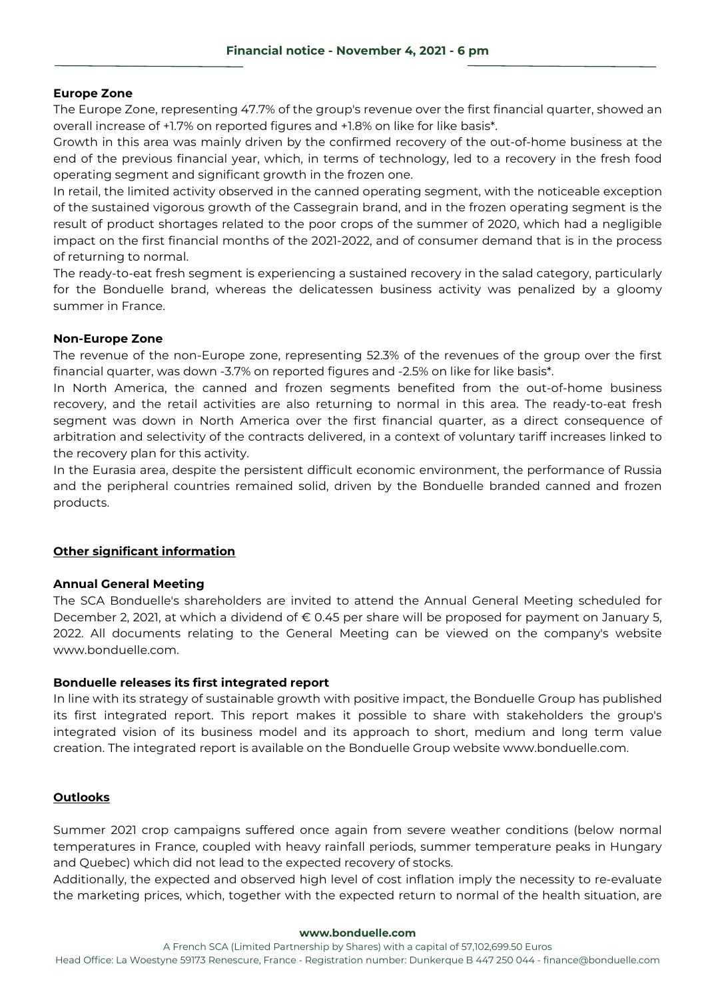## **Europe Zone**

The Europe Zone, representing 47.7% of the group's revenue over the first financial quarter, showed an overall increase of +1.7% on reported figures and +1.8% on like for like basis\*.

Growth in this area was mainly driven by the confirmed recovery of the out-of-home business at the end of the previous financial year, which, in terms of technology, led to a recovery in the fresh food operating segment and significant growth in the frozen one.

In retail, the limited activity observed in the canned operating segment, with the noticeable exception of the sustained vigorous growth of the Cassegrain brand, and in the frozen operating segment is the result of product shortages related to the poor crops of the summer of 2020, which had a negligible impact on the first financial months of the 2021-2022, and of consumer demand that is in the process of returning to normal.

The ready-to-eat fresh segment is experiencing a sustained recovery in the salad category, particularly for the Bonduelle brand, whereas the delicatessen business activity was penalized by a gloomy summer in France.

## **Non-Europe Zone**

The revenue of the non-Europe zone, representing 52.3% of the revenues of the group over the first financial quarter, was down -3.7% on reported figures and -2.5% on like for like basis\*.

In North America, the canned and frozen segments benefited from the out-of-home business recovery, and the retail activities are also returning to normal in this area. The ready-to-eat fresh segment was down in North America over the first financial quarter, as a direct consequence of arbitration and selectivity of the contracts delivered, in a context of voluntary tariff increases linked to the recovery plan for this activity.

In the Eurasia area, despite the persistent difficult economic environment, the performance of Russia and the peripheral countries remained solid, driven by the Bonduelle branded canned and frozen products.

## **Other significant information**

## **Annual General Meeting**

The SCA Bonduelle's shareholders are invited to attend the Annual General Meeting scheduled for December 2, 2021, at which a dividend of € 0.45 per share will be proposed for payment on January 5, 2022. All documents relating to the General Meeting can be viewed on the company's website www.bonduelle.com.

## **Bonduelle releases its first integrated report**

In line with its strategy of sustainable growth with positive impact, the Bonduelle Group has published its first integrated report. This report makes it possible to share with stakeholders the group's integrated vision of its business model and its approach to short, medium and long term value creation. The integrated report is available on the Bonduelle Group website www.bonduelle.com.

## **Outlooks**

Summer 2021 crop campaigns suffered once again from severe weather conditions (below normal temperatures in France, coupled with heavy rainfall periods, summer temperature peaks in Hungary and Quebec) which did not lead to the expected recovery of stocks.

Additionally, the expected and observed high level of cost inflation imply the necessity to re-evaluate the marketing prices, which, together with the expected return to normal of the health situation, are

#### **www.bonduelle.com**